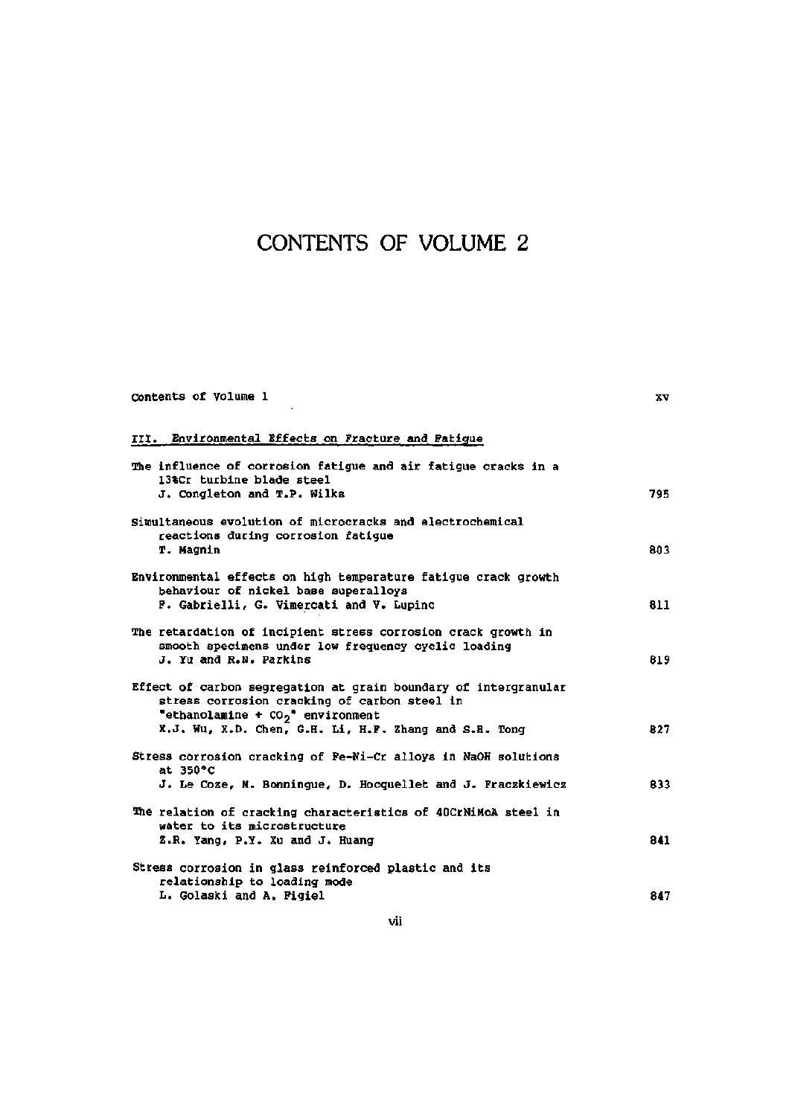## CONTENTS OF VOLUME 2

| Contents of Volume 1                                                                                                                                    | <b>XV</b> |
|---------------------------------------------------------------------------------------------------------------------------------------------------------|-----------|
| III. Environmental Effects on Fracture and Fatigue                                                                                                      |           |
| The influence of corrosion fatigue and air fatigue cracks in a<br>13%Cr turbine blade steel<br>J. Congleton and T.P. Wilks                              | 795       |
| Simultaneous evolution of microcracks and electrochemical                                                                                               |           |
| reactions during corrosion fatigue<br>T. Magnin                                                                                                         | 803       |
| Environmental effects on high temperature fatigue crack growth<br>behaviour of nickel base superalloys<br>F. Gabrielli, G. Vimercati and V. Lupinc      | 811       |
| The retardation of incipient stress corrosion crack growth in<br>smooth specimens under low frequency cyclic loading<br>J. Yu and R.N. Parkins          | 819       |
| Effect of carbon segregation at grain boundary of intergranular<br>stress corrosion cracking of carbon steel in<br>"ethanolamine + $CO_2$ " environment |           |
| X.J. Wu, X.D. Chen, G.H. Li, H.P. Zhang and S.H. Tong                                                                                                   | 827       |
| Stress corrosion cracking of Fe-Ni-Cr alloys in NaOH solutions<br>at 350°C                                                                              |           |
| J. Le Coze, M. Bonningue, D. Hocquellet and J. Fraczkiewicz                                                                                             | 833       |
| The relation of cracking characteristics of 40CrNiMoA steel in<br>water to its microstructure                                                           |           |
| Z.R. Yang, P.Y. Xu and J. Huang                                                                                                                         | 841       |
| Stress corrosion in glass reinforced plastic and its<br>relationship to loading mode                                                                    |           |
| L. Golaski and A. Figiel                                                                                                                                | 847       |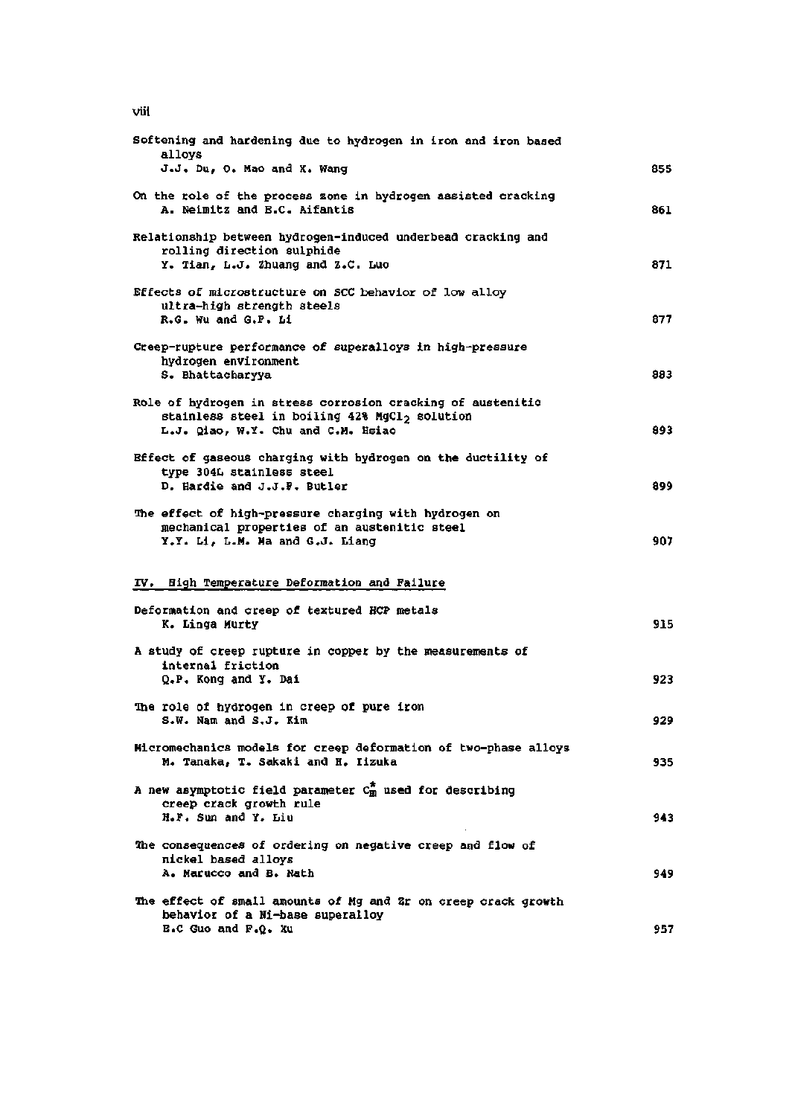$vii$ 

| Softening and hardening due to hydrogen in iron and iron based<br>alloys                                                                                       |     |
|----------------------------------------------------------------------------------------------------------------------------------------------------------------|-----|
| J.J. Du, O. Mao and X. Wang                                                                                                                                    | 855 |
| On the role of the process zone in hydrogen assisted cracking<br>A. Neimitz and B.C. Aifantis                                                                  | 861 |
| Relationship between hydrogen-induced underbead cracking and<br>rolling direction sulphide<br>Y. Tian, L.J. Zhuang and Z.C. Luo                                | 871 |
| Effects of microstructure on SCC behavior of low alloy<br>ultra-high strength steels<br>R.G. Wu and G.F. Li                                                    | 877 |
| Creep-rupture performance of superalloys in high-pressure<br>hydrogen environment<br>S. Bhattacharyya                                                          | 883 |
| Role of hydrogen in stress corrosion cracking of austenitic<br>stainless steel in boiling 42% MgCl <sub>2</sub> solution<br>L.J. Qiao, W.Y. Chu and C.M. Hsiao | 893 |
| Bffect of gaseous charging with hydrogen on the ductility of<br>type 304L stainless steel<br>D. Hardie and J.J.F. Butler                                       | 899 |
| The effect of high-pressure charging with hydrogen on<br>mechanical properties of an austenitic steel<br>Y.Y. Li, L.M. Ma and G.J. Liang                       | 907 |
| IV. Bigh Temperature Deformation and Failure                                                                                                                   |     |
| Deformation and creep of textured HCP metals<br>K. Linga Murty                                                                                                 | 915 |
| A study of creep rupture in copper by the measurements of<br>internal friction<br>Q.P. Kong and Y. Dai                                                         | 923 |
| <b>The role of hydrogen in creep of pure iron</b><br>S.W. Nam and S.J. Kim                                                                                     | 929 |
| Micromechanics models for creep deformation of two-phase alloys<br>M. Tanaka, T. Sakaki and H. Iizuka                                                          | 935 |
| A new asymptotic field parameter $C_m^*$ used for describing<br>creep crack growth rule<br>H.F. Sun and Y. Liu                                                 | 943 |
| The consequences of ordering on negative creep and flow of<br>nickel based alloys<br><b>A. Marucco and B. Nath</b>                                             | 949 |
| The effect of small amounts of Mg and 2r on creep crack growth<br>behavior of a Ni-base superalloy<br><b>E.C Guo and F.Q. Xu</b>                               | 957 |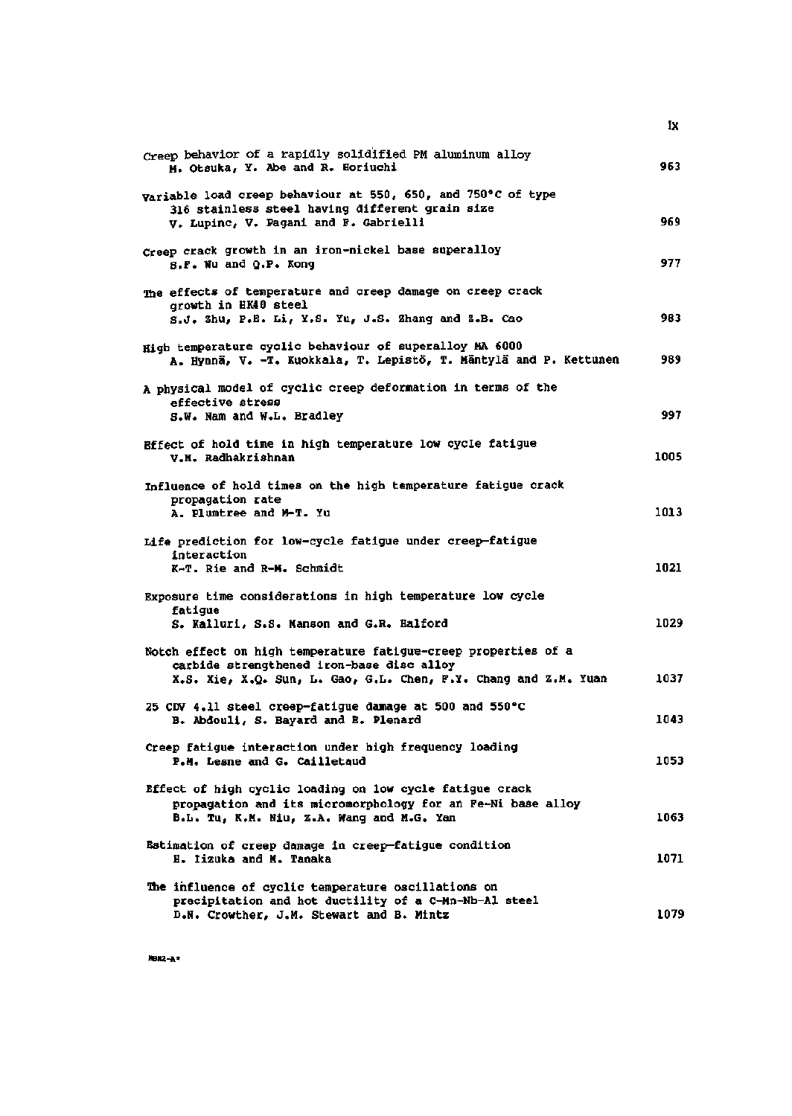| Creep behavior of a rapidly solidified PM aluminum alloy<br>M. Otsuka, Y. Abe and R. Horiuchi                                                                        | 963          |
|----------------------------------------------------------------------------------------------------------------------------------------------------------------------|--------------|
| Variable load creep behaviour at 550, 650, and 750°C of type<br>316 stainless steel having different grain size<br>V. Lupinc, V. Pagani and F. Gabrielli             | 969          |
| Creep crack growth in an iron-nickel base superalloy<br>s.F. Wu and Q.P. Kong                                                                                        | 977          |
| The effects of temperature and creep damage on creep crack<br>growth in HK40 steel<br>g.J. Zhu, P.E. Li, Y.S. Yu, J.S. Zhang and Z.B. Cao                            | 983          |
| High temperature cyclic behaviour of superalloy MA 6000<br>A. Hynnä, V. -T. Kuokkala, T. Lepistö, T. Mäntylä and P. Kettunen                                         | 989          |
| A physical model of cyclic creep deformation in terms of the<br>effective stress<br>S.W. Nam and W.L. Bradley                                                        | 997          |
| Bffect of hold time in high temperature low cycle fatigue<br>V.M. Radhakrishnan                                                                                      | 1005         |
| Influence of hold times on the high temperature fatigue crack<br>propagation rate<br>A. Plumtree and M-T. Yu                                                         | 1013         |
| Life prediction for low-cycle fatigue under creep-fatigue<br>interaction<br>K-T. Rie and R-M. Schmidt                                                                | 1021         |
| Exposure time considerations in high temperature low cycle<br>fatique<br>S. Kalluri, S.S. Manson and G.R. Halford                                                    | 1029         |
| Notch effect on high temperature fatigue-creep properties of a<br>carbide strengthened iron-base disc alloy                                                          |              |
| X.S. Xie, X.Q. Sun, L. Gao, G.L. Chen, F.Y. Chang and Z.M. Yuan<br>25 CDV 4.11 steel creep-fatigue damage at 500 and 550°C<br>B. Abdouli, S. Bayard and E. Plenard   | 1037<br>1043 |
| Creep fatigue interaction under high frequency loading<br>P.M. Lesne and G. Cailletaud                                                                               | 1053         |
| Effect of high cyclic loading on low cycle fatigue crack<br>propagation and its micromorphology for an Fe-Ni base alloy<br>B.L. Tu, K.M. Niu, Z.A. Wang and M.G. Yan | 1063         |
| Estimation of creep damage in creep-fatigue condition<br>H. Iizuka and M. Tanaka                                                                                     | 1071         |
| The influence of cyclic temperature oscillations on<br>precipitation and hot ductility of a C-Mn-Nb-Al steel<br>D.N. Crowther, J.M. Stewart and B. Mintz             | 1079         |

 $\mathbf{k}$ 

**HBN2-A\***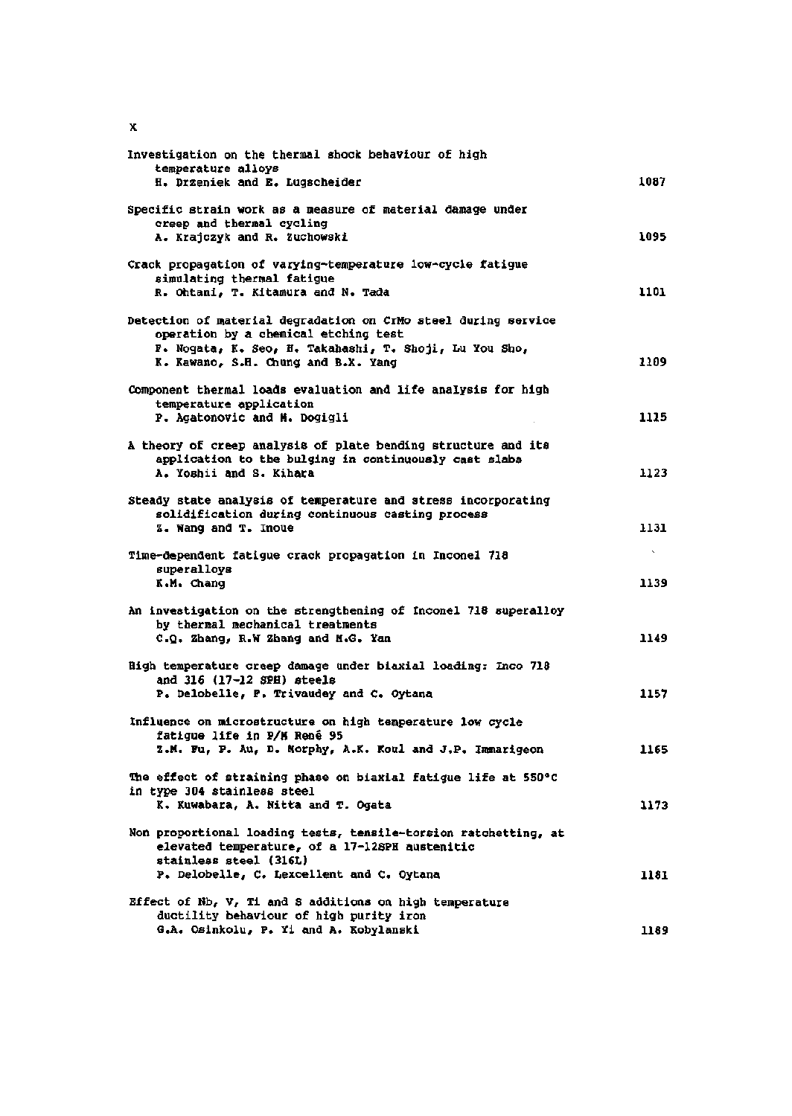| Investigation on the thermal shock behaviour of high<br>temperature alloys                                                                                                                              |                  |
|---------------------------------------------------------------------------------------------------------------------------------------------------------------------------------------------------------|------------------|
| H. Drzeniek and E. Lugscheider                                                                                                                                                                          | 1087             |
| Specific strain work as a measure of material damage under<br>creep and thermal cycling<br>A. Krajczyk and R. Zuchowski                                                                                 | 1095             |
| Crack propagation of varying-temperature low-cycle fatigue<br>simulating thermal fatigue<br>R. Ohtani, T. Kitamura and N. Tada                                                                          | 1101             |
| Detection of material degradation on CrMo steel during service<br>operation by a chemical etching test<br>F. Nogata, K. Seo, H. Takahashi, T. Shoji, Lu You Sho,<br>K. Kawano, S.H. Chung and B.X. Yang | 1109             |
| Component thermal loads evaluation and life analysis for high<br>temperature application<br>P. Agatonovic and M. Dogigli                                                                                | 1115             |
| A theory of creep analysis of plate bending structure and its<br>application to the bulging in continuously cast slabs<br>A. Yoshii and S. Kihara                                                       | 1123             |
| Steady state analysis of temperature and stress incorporating<br>solidification during continuous casting process<br>Z. Wang and T. Inoue                                                               | 1131             |
| Time-dependent fatigue crack propagation in Inconel 718<br>superalloys<br>K.M. Chang                                                                                                                    | $\infty$<br>1139 |
| An investigation on the strengthening of Inconel 718 superalloy<br>by thermal mechanical treatments<br>C.Q. Zhang, R.W Zhang and M.G. Yan                                                               | 1149             |
| High temperature creep damage under biaxial loading: Inco 718<br>and 316 (17-12 SPH) steels                                                                                                             | 1157             |
| P. Delobelle, P. Trivaudey and C. Oytana<br>Influence on microstructure on high temperature low cycle<br>fatigue life in P/M René 95<br>Z.M. Fu, P. Au, D. Morphy, A.K. Koul and J.P. Immarigeon        | 1165             |
| The effect of straining phase on biaxial fatigue life at 550°C<br>in type 304 stainless steel                                                                                                           |                  |
| K. Kuwabara, A. Nitta and T. Ogata<br>Non proportional loading tests, tensile-torsion ratchetting, at<br>elevated temperature, of a 17-12SPH austenitic                                                 | 1173             |
| stainless steel (316L)<br>P. Delobelle, C. Lexcellent and C. Oytana                                                                                                                                     | 1181             |
| Effect of Nb, V, Ti and S additions on high temperature<br>ductility behaviour of high purity iron<br>G.A. Osinkolu, P. Yi and A. Kobylanski                                                            | 1189             |

 $\mathbf x$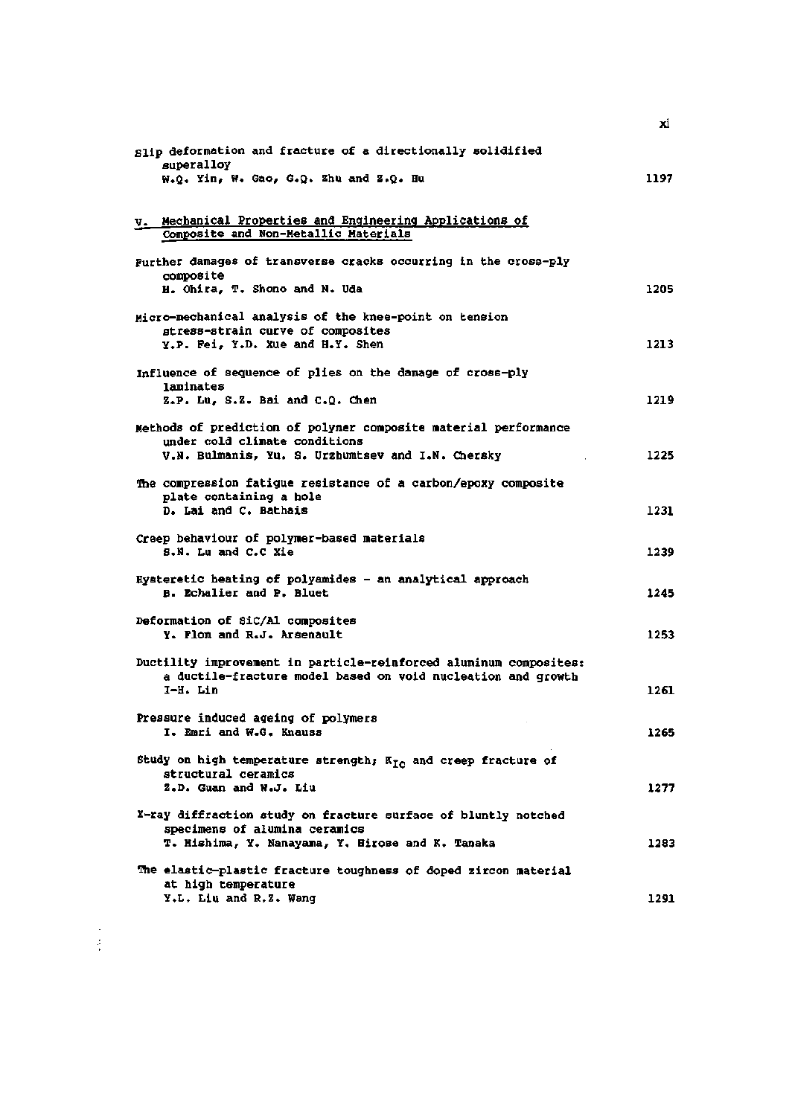| Slip deformation and fracture of a directionally solidified<br>superalloy<br>W.Q. Yin, W. Gao, G.Q. Zhu and Z.Q. Hu                                   | 1197 |
|-------------------------------------------------------------------------------------------------------------------------------------------------------|------|
| v. Mechanical Properties and Engineering Applications of                                                                                              |      |
| Composite and Non-Metallic Materials                                                                                                                  |      |
| Purther damages of transverse cracks occurring in the cross-ply<br>composite<br><b>H. Ohira, T. Shono and N. Uda</b>                                  | 1205 |
| Micro-mechanical analysis of the knee-point on tension<br>stress-strain curve of composites                                                           |      |
| Y.P. Fei, Y.D. Xue and H.Y. Shen<br>Influence of sequence of plies on the damage of cross-ply                                                         | 1213 |
| laminates<br>Z.P. Lu, S.Z. Bai and C.Q. Chen                                                                                                          | 1219 |
| Methods of prediction of polymer composite material performance<br>under cold climate conditions<br>V.N. Bulmanis, Yu. S. Urzhumtsev and I.N. Chersky | 1225 |
| The compression fatigue resistance of a carbon/epoxy composite                                                                                        |      |
| plate containing a hole<br>D. Lai and C. Bathais                                                                                                      | 1231 |
| Creep behaviour of polymer-based materials<br>S.N. Lu and C.C Xie                                                                                     | 1239 |
| Hysteretic heating of polyamides - an analytical approach<br>B. Echalier and P. Bluet                                                                 | 1245 |
| Deformation of SiC/Al composites<br>Y. Flom and R.J. Arsenault                                                                                        | 1253 |
| Ductility improvement in particle-reinforced aluminum composites:<br>a ductile-fracture model based on void nucleation and growth<br>I-H. Lin         | 1261 |
| Pressure induced ageing of polymers<br>I. Emri and W.G. Knauss                                                                                        | 1265 |
| Study on high temperature strength; $K_{T,n}$ and creep fracture of<br>structural ceramics<br>Z.D. Guan and W.J. Liu                                  | 1277 |
| X-ray diffraction study on fracture surface of bluntly notched<br>specimens of alumina ceramics<br>T. Mishima, Y. Nanayama, Y. Birose and K. Tanaka   | 1283 |
| The elastic-plastic fracture toughness of doped zircon material                                                                                       |      |
| at high temperature<br>Y.L. Liu and R.Z. Wang                                                                                                         | 1291 |

 $\begin{array}{c} 1 \\ 2 \\ 3 \end{array}$ 

 $\dot{\mathbf{x}}$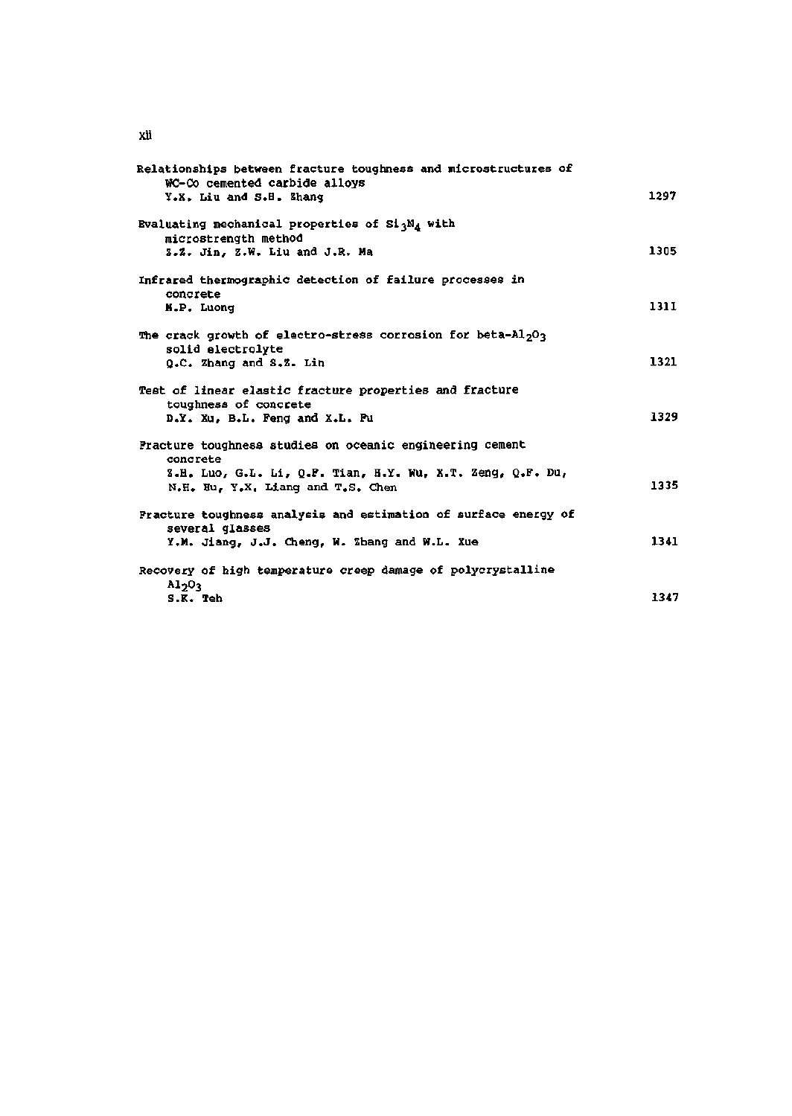| Relationships between fracture toughness and microstructures of<br>WC-Co cemented carbide alloys          |      |
|-----------------------------------------------------------------------------------------------------------|------|
| Y.X. Liu and S.H. Zhang                                                                                   | 1297 |
| Evaluating mechanical properties of $Si_3N_A$ with<br>microstrength method                                |      |
| Z.Z. Jin, Z.W. Liu and J.R. Ma                                                                            | 1305 |
| Infrared thermographic detection of failure processes in<br>concrete                                      |      |
| M.P. Luong                                                                                                | 1311 |
| The crack growth of electro-stress corrosion for beta-Al <sub>2</sub> O <sub>3</sub><br>solid electrolyte |      |
| Q.C. Zhang and S.Z. Lin                                                                                   | 1321 |
| Test of linear elastic fracture properties and fracture<br>toughness of concrete                          |      |
| D.Y. Xu, B.L. Feng and X.L. Pu                                                                            | 1329 |
| Practure toughness studies on oceanic engineering cement<br>concrete                                      |      |
| Z.H. Luo, G.L. Li, Q.P. Tian, H.Y. Wu, X.T. Zeng, Q.F. Du,<br>N.H. Hu. Y.X. Liang and T.S. Chen           | 1335 |
| Fracture toughness analysis and estimation of surface energy of<br>several glasses                        |      |
| Y.M. Jiang, J.J. Cheng, W. Zhang and W.L. Xue                                                             | 1341 |
| Recovery of high temperature creep damage of polycrystalline<br>Al <sub>2</sub> O <sub>3</sub>            |      |
| S.K. Teh                                                                                                  | 1347 |

 $\dot{\mathbf{a}}$